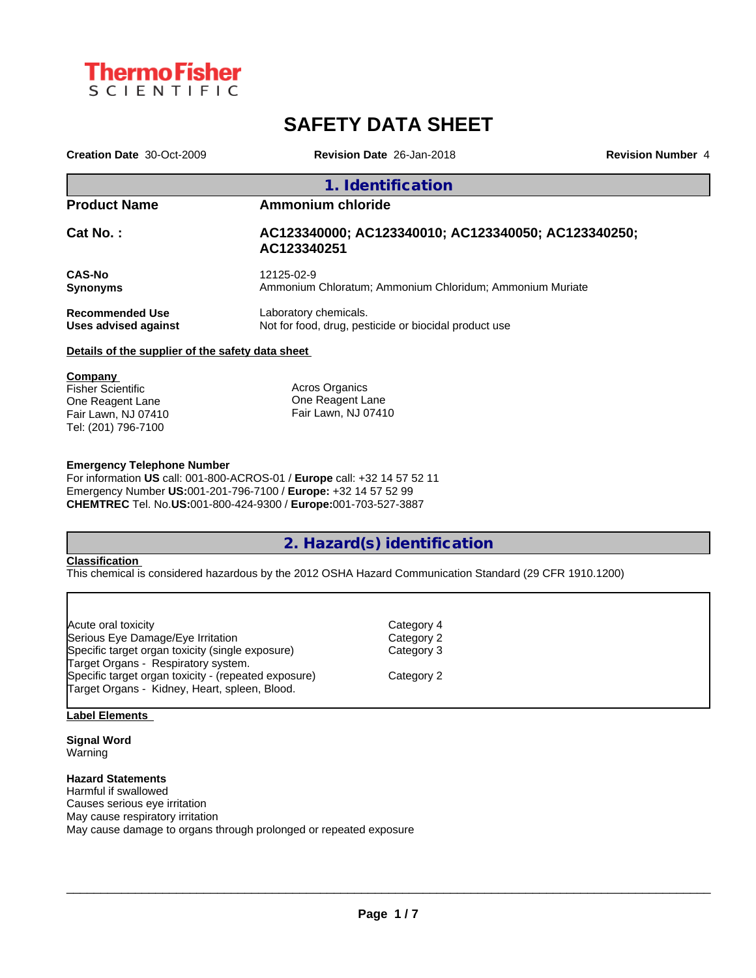

# **SAFETY DATA SHEET**

| Creation Date 30-Oct-2009                        | <b>Revision Date 26-Jan-2018</b>                                               | <b>Revision Number 4</b> |  |  |
|--------------------------------------------------|--------------------------------------------------------------------------------|--------------------------|--|--|
|                                                  | 1. Identification                                                              |                          |  |  |
| <b>Product Name</b>                              | <b>Ammonium chloride</b>                                                       |                          |  |  |
| Cat No.:                                         | AC123340000; AC123340010; AC123340050; AC123340250;<br>AC123340251             |                          |  |  |
| <b>CAS-No</b><br><b>Synonyms</b>                 | 12125-02-9<br>Ammonium Chloratum; Ammonium Chloridum; Ammonium Muriate         |                          |  |  |
| <b>Recommended Use</b><br>Uses advised against   | Laboratory chemicals.<br>Not for food, drug, pesticide or biocidal product use |                          |  |  |
| Details of the supplier of the safety data sheet |                                                                                |                          |  |  |
| <b>Company</b>                                   |                                                                                |                          |  |  |
| <b>Fisher Scientific</b>                         | Acros Organics                                                                 |                          |  |  |
| One Reagent Lane                                 | One Reagent Lane                                                               |                          |  |  |
| Fair Lawn, NJ 07410                              | Fair Lawn, NJ 07410                                                            |                          |  |  |

### **Emergency Telephone Number**

For information **US** call: 001-800-ACROS-01 / **Europe** call: +32 14 57 52 11 Emergency Number **US:**001-201-796-7100 / **Europe:** +32 14 57 52 99 **CHEMTREC** Tel. No.**US:**001-800-424-9300 / **Europe:**001-703-527-3887

## **2. Hazard(s) identification**

### **Classification**

Tel: (201) 796-7100

This chemical is considered hazardous by the 2012 OSHA Hazard Communication Standard (29 CFR 1910.1200)

| Acute oral toxicity                                  | Category 4 |  |
|------------------------------------------------------|------------|--|
| Serious Eye Damage/Eye Irritation                    | Category 2 |  |
| Specific target organ toxicity (single exposure)     | Category 3 |  |
| Target Organs - Respiratory system.                  |            |  |
| Specific target organ toxicity - (repeated exposure) | Category 2 |  |
| Target Organs - Kidney, Heart, spleen, Blood.        |            |  |
|                                                      |            |  |

### **Label Elements**

**Signal Word** Warning

### **Hazard Statements**

Harmful if swallowed Causes serious eye irritation May cause respiratory irritation May cause damage to organs through prolonged or repeated exposure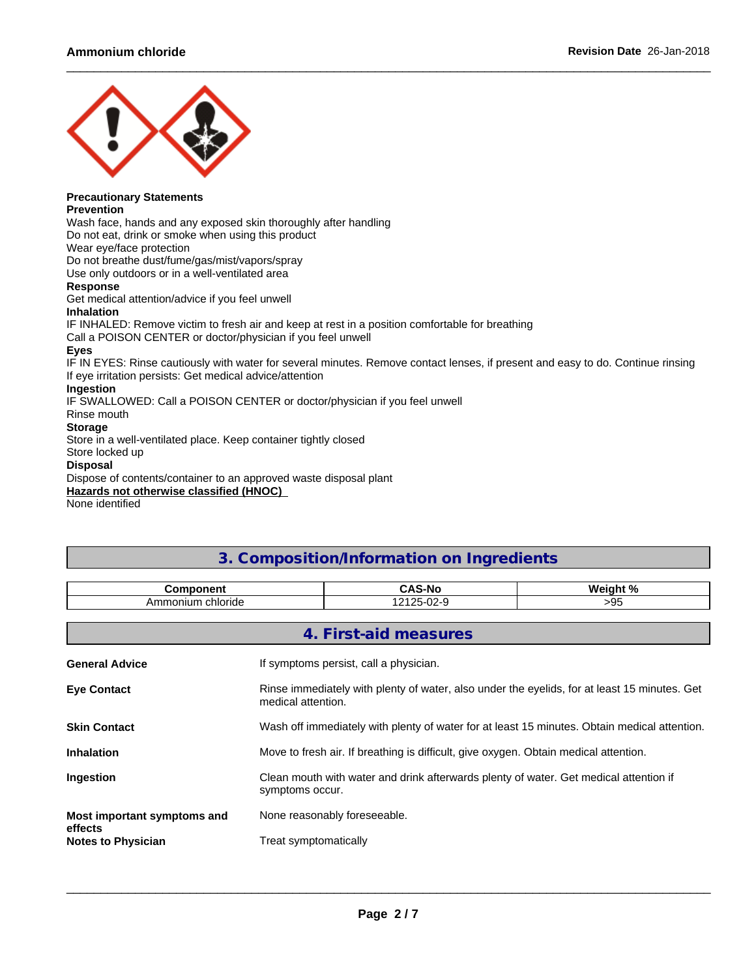

### **Precautionary Statements**

### **Prevention**

Wash face, hands and any exposed skin thoroughly after handling

Do not eat, drink or smoke when using this product

Wear eye/face protection

Do not breathe dust/fume/gas/mist/vapors/spray

Use only outdoors or in a well-ventilated area

### **Response**

Get medical attention/advice if you feel unwell

**Inhalation**

IF INHALED: Remove victim to fresh air and keep at rest in a position comfortable for breathing

Call a POISON CENTER or doctor/physician if you feel unwell

### **Eyes**

IF IN EYES: Rinse cautiously with water for several minutes. Remove contact lenses, if present and easy to do. Continue rinsing If eye irritation persists: Get medical advice/attention

### **Ingestion**

IF SWALLOWED: Call a POISON CENTER or doctor/physician if you feel unwell

Rinse mouth

### **Storage**

Store in a well-ventilated place. Keep container tightly closed

Store locked up

### **Disposal**

Dispose of contents/container to an approved waste disposal plant

### **Hazards not otherwise classified (HNOC)**

None identified

## **3. Composition/Information on Ingredients**

|                          | $\sim$ Ne $\sim$ |     |  |
|--------------------------|------------------|-----|--|
| chloride.<br>าแเท<br>anı | $\sim$<br>. .    | . . |  |

|                                      | 4. First-aid measures                                                                                              |
|--------------------------------------|--------------------------------------------------------------------------------------------------------------------|
| <b>General Advice</b>                | If symptoms persist, call a physician.                                                                             |
| <b>Eye Contact</b>                   | Rinse immediately with plenty of water, also under the eyelids, for at least 15 minutes. Get<br>medical attention. |
| <b>Skin Contact</b>                  | Wash off immediately with plenty of water for at least 15 minutes. Obtain medical attention.                       |
| <b>Inhalation</b>                    | Move to fresh air. If breathing is difficult, give oxygen. Obtain medical attention.                               |
| Ingestion                            | Clean mouth with water and drink afterwards plenty of water. Get medical attention if<br>symptoms occur.           |
| Most important symptoms and          | None reasonably foreseeable.                                                                                       |
| effects<br><b>Notes to Physician</b> | Treat symptomatically                                                                                              |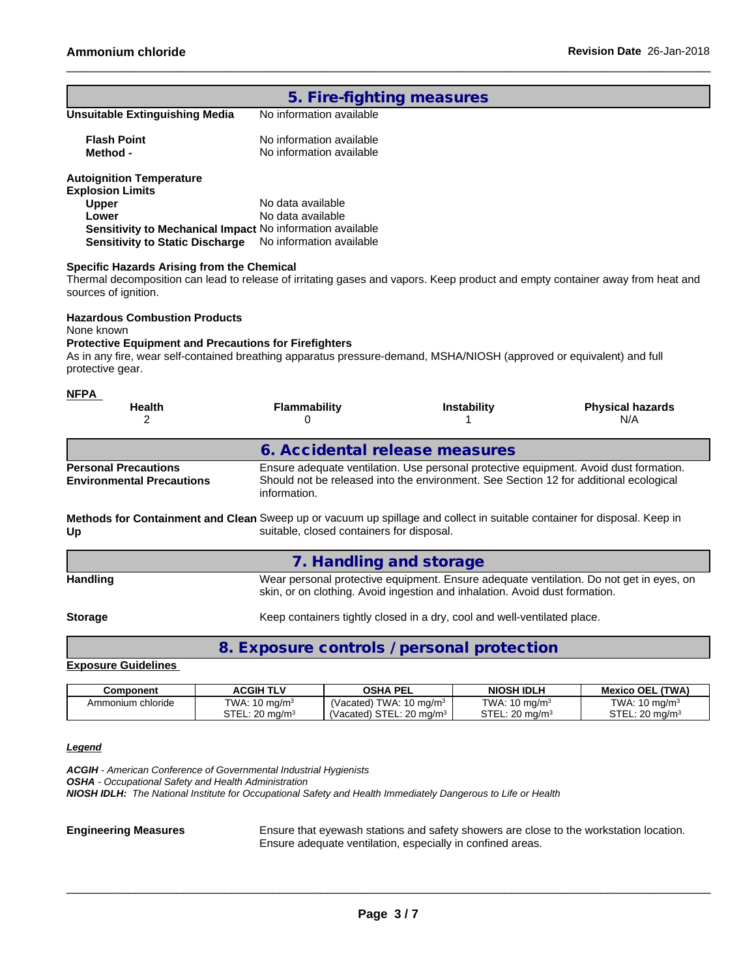|                                                                                                                                                                                                                                                                 |                                                                                                                                                                                                | 5. Fire-fighting measures                                                   |                                                                                         |
|-----------------------------------------------------------------------------------------------------------------------------------------------------------------------------------------------------------------------------------------------------------------|------------------------------------------------------------------------------------------------------------------------------------------------------------------------------------------------|-----------------------------------------------------------------------------|-----------------------------------------------------------------------------------------|
| <b>Unsuitable Extinguishing Media</b>                                                                                                                                                                                                                           | No information available                                                                                                                                                                       |                                                                             |                                                                                         |
| <b>Flash Point</b><br>Method -                                                                                                                                                                                                                                  | No information available<br>No information available                                                                                                                                           |                                                                             |                                                                                         |
| <b>Autoignition Temperature</b><br><b>Explosion Limits</b><br><b>Upper</b><br>Lower                                                                                                                                                                             | No data available<br>No data available                                                                                                                                                         |                                                                             |                                                                                         |
| Sensitivity to Mechanical Impact No information available<br><b>Sensitivity to Static Discharge</b>                                                                                                                                                             | No information available                                                                                                                                                                       |                                                                             |                                                                                         |
| Specific Hazards Arising from the Chemical<br>Thermal decomposition can lead to release of irritating gases and vapors. Keep product and empty container away from heat and<br>sources of ignition.                                                             |                                                                                                                                                                                                |                                                                             |                                                                                         |
| <b>Hazardous Combustion Products</b><br>None known<br><b>Protective Equipment and Precautions for Firefighters</b><br>As in any fire, wear self-contained breathing apparatus pressure-demand, MSHA/NIOSH (approved or equivalent) and full<br>protective gear. |                                                                                                                                                                                                |                                                                             |                                                                                         |
| NFPA<br>Health<br>2                                                                                                                                                                                                                                             | <b>Flammability</b><br>0                                                                                                                                                                       | <b>Instability</b><br>1                                                     | <b>Physical hazards</b><br>N/A                                                          |
|                                                                                                                                                                                                                                                                 |                                                                                                                                                                                                | 6. Accidental release measures                                              |                                                                                         |
| <b>Personal Precautions</b><br><b>Environmental Precautions</b>                                                                                                                                                                                                 | Ensure adequate ventilation. Use personal protective equipment. Avoid dust formation.<br>Should not be released into the environment. See Section 12 for additional ecological<br>information. |                                                                             |                                                                                         |
| Methods for Containment and Clean Sweep up or vacuum up spillage and collect in suitable container for disposal. Keep in<br>Up                                                                                                                                  | suitable, closed containers for disposal.                                                                                                                                                      |                                                                             |                                                                                         |
|                                                                                                                                                                                                                                                                 |                                                                                                                                                                                                | 7. Handling and storage                                                     |                                                                                         |
| <b>Handling</b>                                                                                                                                                                                                                                                 |                                                                                                                                                                                                | skin, or on clothing. Avoid ingestion and inhalation. Avoid dust formation. | Wear personal protective equipment. Ensure adequate ventilation. Do not get in eyes, on |
| <b>Storage</b>                                                                                                                                                                                                                                                  |                                                                                                                                                                                                | Keep containers tightly closed in a dry, cool and well-ventilated place.    |                                                                                         |
|                                                                                                                                                                                                                                                                 |                                                                                                                                                                                                | 8. Exposure controls / personal protection                                  |                                                                                         |
| <b>Exposure Guidelines</b>                                                                                                                                                                                                                                      |                                                                                                                                                                                                |                                                                             |                                                                                         |

**Component ACGIH TLV OSHA PEL NIOSH IDLH Mexico OEL (TWA)**<br>Ammonium chloride TWA: 10 mg/m<sup>3</sup> (Vacated) TWA: 10 mg/m<sup>3</sup> TWA: 10 mg/m<sup>3</sup> TWA: 10 mg/m<sup>3</sup> TWA: 10 mg/m $3$ STEL: 20 mg/m<sup>3</sup> (Vacated) TWA: 10 mg/m<sup>3</sup> TWA: 10 mg/m<sup>3</sup><br>(Vacated) STEL: 20 mg/m<sup>3</sup> STEL: 20 mg/m<sup>3</sup>  $(Vacated)$  STEL: 20 mg/m<sup>3</sup>  $S$ TEL: 20 mg/m<sup>3</sup>  $S$ TEL: 20 mg/m<sup>3</sup>

### *Legend*

*ACGIH - American Conference of Governmental Industrial Hygienists OSHA - Occupational Safety and Health Administration NIOSH IDLH: The National Institute for Occupational Safety and Health Immediately Dangerous to Life or Health*

**Engineering Measures** Ensure that eyewash stations and safety showers are close to the workstation location. Ensure adequate ventilation, especially in confined areas.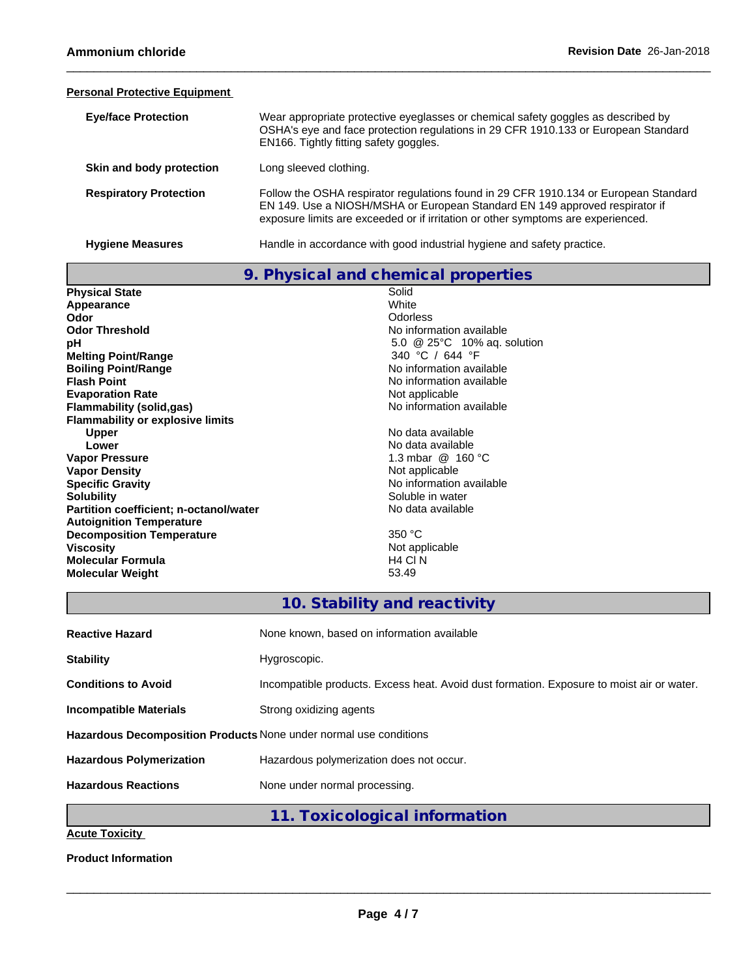### **Personal Protective Equipment**

| <b>Eye/face Protection</b>    | Wear appropriate protective eyeglasses or chemical safety goggles as described by<br>OSHA's eye and face protection regulations in 29 CFR 1910.133 or European Standard<br>EN166. Tightly fitting safety goggles.                                       |
|-------------------------------|---------------------------------------------------------------------------------------------------------------------------------------------------------------------------------------------------------------------------------------------------------|
| Skin and body protection      | Long sleeved clothing.                                                                                                                                                                                                                                  |
| <b>Respiratory Protection</b> | Follow the OSHA respirator regulations found in 29 CFR 1910.134 or European Standard<br>EN 149. Use a NIOSH/MSHA or European Standard EN 149 approved respirator if<br>exposure limits are exceeded or if irritation or other symptoms are experienced. |
| <b>Hygiene Measures</b>       | Handle in accordance with good industrial hygiene and safety practice.                                                                                                                                                                                  |

|                                         | 9. Physical and chemical properties |
|-----------------------------------------|-------------------------------------|
| <b>Physical State</b>                   | Solid                               |
| Appearance                              | <b>White</b>                        |
| Odor                                    | Odorless                            |
| <b>Odor Threshold</b>                   | No information available            |
| рH                                      | 5.0 @ 25°C 10% aq. solution         |
| <b>Melting Point/Range</b>              | 340 °C / 644 °F                     |
| <b>Boiling Point/Range</b>              | No information available            |
| <b>Flash Point</b>                      | No information available            |
| <b>Evaporation Rate</b>                 | Not applicable                      |
| <b>Flammability (solid,gas)</b>         | No information available            |
| <b>Flammability or explosive limits</b> |                                     |
| <b>Upper</b>                            | No data available                   |
| Lower                                   | No data available                   |
| <b>Vapor Pressure</b>                   | 1.3 mbar @ 160 °C                   |
| <b>Vapor Density</b>                    | Not applicable                      |
| <b>Specific Gravity</b>                 | No information available            |
| <b>Solubility</b>                       | Soluble in water                    |
| Partition coefficient; n-octanol/water  | No data available                   |
| <b>Autoignition Temperature</b>         |                                     |
| <b>Decomposition Temperature</b>        | 350 °C                              |
| <b>Viscosity</b>                        | Not applicable                      |
| <b>Molecular Formula</b>                | H <sub>4</sub> CIN                  |
| <b>Molecular Weight</b>                 | 53.49                               |
|                                         |                                     |

## **10. Stability and reactivity**

| <b>Reactive Hazard</b>                                            | None known, based on information available                                                |  |
|-------------------------------------------------------------------|-------------------------------------------------------------------------------------------|--|
| <b>Stability</b>                                                  | Hygroscopic.                                                                              |  |
| <b>Conditions to Avoid</b>                                        | Incompatible products. Excess heat. Avoid dust formation. Exposure to moist air or water. |  |
| <b>Incompatible Materials</b>                                     | Strong oxidizing agents                                                                   |  |
| Hazardous Decomposition Products None under normal use conditions |                                                                                           |  |
| <b>Hazardous Polymerization</b>                                   | Hazardous polymerization does not occur.                                                  |  |
| <b>Hazardous Reactions</b>                                        | None under normal processing.                                                             |  |
|                                                                   | 11. Toxicological information                                                             |  |

**Acute Toxicity**

**Product Information**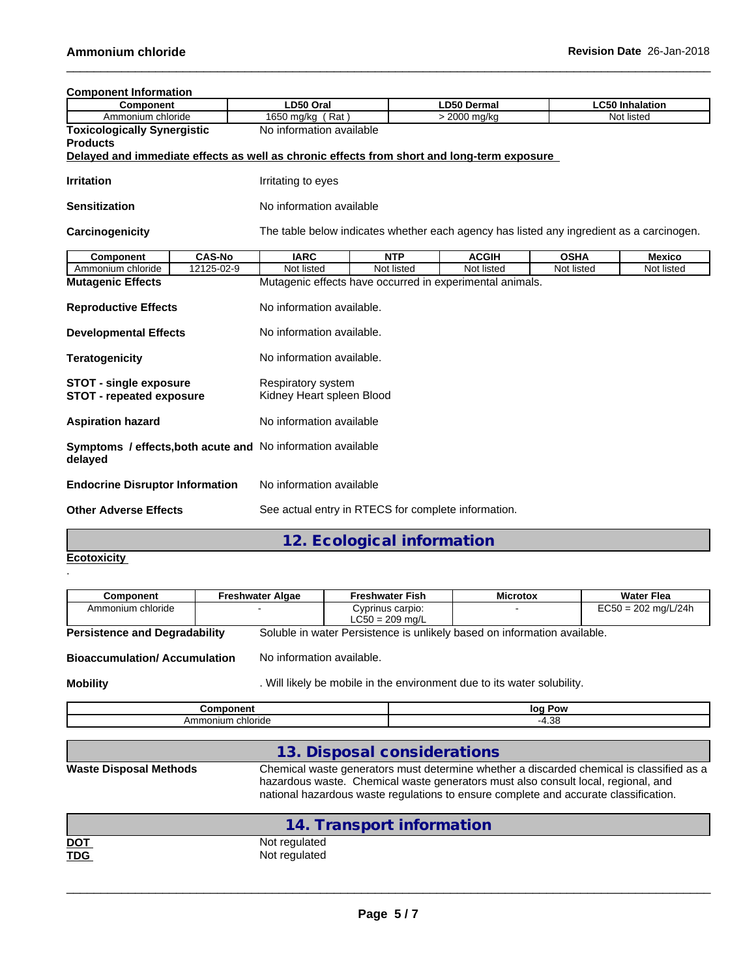| <b>Component Information</b>                                                               |                                                                                          |                                                          |              |             |                        |  |  |
|--------------------------------------------------------------------------------------------|------------------------------------------------------------------------------------------|----------------------------------------------------------|--------------|-------------|------------------------|--|--|
| Component                                                                                  | LD50 Oral                                                                                |                                                          | LD50 Dermal  |             | <b>LC50 Inhalation</b> |  |  |
| Ammonium chloride                                                                          | 1650 mg/kg (Rat)                                                                         |                                                          | > 2000 mg/kg |             | Not listed             |  |  |
| <b>Toxicologically Synergistic</b>                                                         | No information available                                                                 |                                                          |              |             |                        |  |  |
| <b>Products</b>                                                                            |                                                                                          |                                                          |              |             |                        |  |  |
| Delayed and immediate effects as well as chronic effects from short and long-term exposure |                                                                                          |                                                          |              |             |                        |  |  |
| <b>Irritation</b>                                                                          | Irritating to eyes                                                                       |                                                          |              |             |                        |  |  |
| <b>Sensitization</b>                                                                       | No information available                                                                 |                                                          |              |             |                        |  |  |
| Carcinogenicity                                                                            | The table below indicates whether each agency has listed any ingredient as a carcinogen. |                                                          |              |             |                        |  |  |
| <b>CAS-No</b><br>Component                                                                 | <b>IARC</b>                                                                              | <b>NTP</b>                                               | <b>ACGIH</b> | <b>OSHA</b> | <b>Mexico</b>          |  |  |
| Ammonium chloride<br>12125-02-9                                                            | Not listed                                                                               | Not listed                                               | Not listed   | Not listed  | Not listed             |  |  |
| <b>Mutagenic Effects</b>                                                                   |                                                                                          | Mutagenic effects have occurred in experimental animals. |              |             |                        |  |  |
| <b>Reproductive Effects</b>                                                                |                                                                                          | No information available.                                |              |             |                        |  |  |
| <b>Developmental Effects</b>                                                               |                                                                                          | No information available.                                |              |             |                        |  |  |
| <b>Teratogenicity</b>                                                                      |                                                                                          | No information available.                                |              |             |                        |  |  |
| <b>STOT - single exposure</b><br><b>STOT - repeated exposure</b>                           | Respiratory system<br>Kidney Heart spleen Blood                                          |                                                          |              |             |                        |  |  |
| <b>Aspiration hazard</b>                                                                   |                                                                                          | No information available                                 |              |             |                        |  |  |
| <b>Symptoms / effects, both acute and No information available</b><br>delayed              |                                                                                          |                                                          |              |             |                        |  |  |
| <b>Endocrine Disruptor Information</b>                                                     | No information available                                                                 |                                                          |              |             |                        |  |  |
| See actual entry in RTECS for complete information.<br><b>Other Adverse Effects</b>        |                                                                                          |                                                          |              |             |                        |  |  |

**12. Ecological information**

**Ecotoxicity**  .

| Component                            | Freshwater Algae | <b>Freshwater Fish</b> | <b>Microtox</b>                                                          | <b>Water Flea</b>     |
|--------------------------------------|------------------|------------------------|--------------------------------------------------------------------------|-----------------------|
| Ammonium chloride                    |                  | Cyprinus carpio:       |                                                                          | $EC50 = 202$ mg/L/24h |
|                                      |                  | $LC50 = 209$ ma/L      |                                                                          |                       |
| <b>Persistence and Degradability</b> |                  |                        | Soluble in water Persistence is unlikely based on information available. |                       |

**Bioaccumulation/ Accumulation** No information available.

**Mobility Mobility** . Will likely be mobile in the environment due to its water solubility.

| $   -$<br>$-$<br>$\sim$<br>тнењ.<br>◡ | loa<br>Pow             |
|---------------------------------------|------------------------|
| monium<br>chloride<br>. .<br>וווא     | $\sim$<br>$-4$<br>τ.∪ι |

|                               | 13. Disposal considerations                                                                                                                                                                                                                                           |
|-------------------------------|-----------------------------------------------------------------------------------------------------------------------------------------------------------------------------------------------------------------------------------------------------------------------|
| <b>Waste Disposal Methods</b> | Chemical waste generators must determine whether a discarded chemical is classified as a<br>hazardous waste. Chemical waste generators must also consult local, regional, and<br>national hazardous waste regulations to ensure complete and accurate classification. |
|                               | 14. Transport information                                                                                                                                                                                                                                             |
| DOT                           | Not regulated                                                                                                                                                                                                                                                         |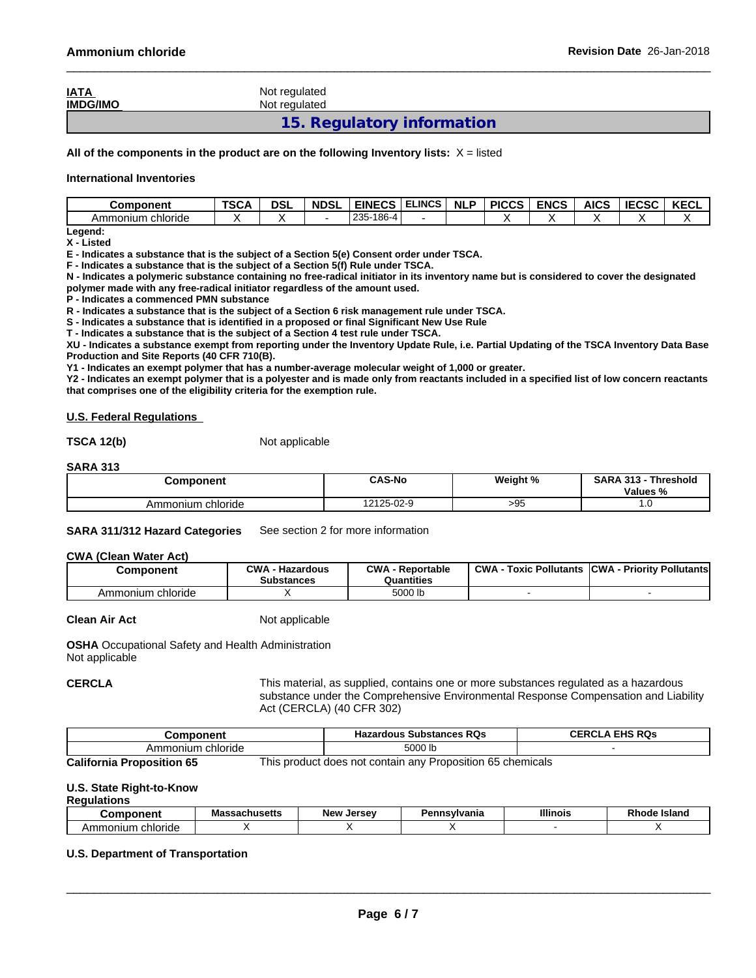| <b>IATA</b>     | Not regulated              |
|-----------------|----------------------------|
| <b>IMDG/IMO</b> | Not regulated              |
|                 | 15. Regulatory information |

**All of the components in the product are on the following Inventory lists:** X = listed

### **International Inventories**

| <b>Component</b>     | <b>TSCA</b> | DSL | <b>NDSL</b> | ה -<br><b>EINE</b><br>-93 | <b>ELINCS</b> | <b>NLP</b> | <b>PICCS</b> | <b>ENCS</b> | AICS | <b>IECSC</b> | KECL |
|----------------------|-------------|-----|-------------|---------------------------|---------------|------------|--------------|-------------|------|--------------|------|
| chloride<br>Ammonium |             |     |             | 186-4<br>$.235 -$<br>دں ے |               |            |              |             |      |              |      |

**Legend: X - Listed**

**E - Indicates a substance that is the subject of a Section 5(e) Consent order under TSCA.**

**F - Indicates a substance that is the subject of a Section 5(f) Rule under TSCA.**

**N - Indicates a polymeric substance containing no free-radical initiator in its inventory name but is considered to cover the designated polymer made with any free-radical initiator regardless of the amount used.**

**P - Indicates a commenced PMN substance**

**R - Indicates a substance that is the subject of a Section 6 risk management rule under TSCA.**

**S - Indicates a substance that is identified in a proposed or final Significant New Use Rule**

**T - Indicates a substance that is the subject of a Section 4 test rule under TSCA.**

**XU - Indicates a substance exempt from reporting under the Inventory Update Rule, i.e. Partial Updating of the TSCA Inventory Data Base Production and Site Reports (40 CFR 710(B).**

**Y1 - Indicates an exempt polymer that has a number-average molecular weight of 1,000 or greater.**

**Y2 - Indicates an exempt polymer that is a polyester and is made only from reactants included in a specified list of low concern reactants that comprises one of the eligibility criteria for the exemption rule.**

### **U.S. Federal Regulations**

**TSCA 12(b)** Not applicable

### **SARA 313**

| Component             | <b>CAS-No</b> | Weight % | <b>SARA 313</b><br>Threshold<br>Values %<br>″٥ |
|-----------------------|---------------|----------|------------------------------------------------|
| ⊧chloride<br>Ammonium | 12125-02-9    | >95      | . ג                                            |

**SARA 311/312 Hazard Categories** See section 2 for more information

### **CWA** (Clean Water Act)

| Component         | $\sim$ M/A        | <b>CWA</b> | <b>CWA</b> | <b>CWA</b>      |
|-------------------|-------------------|------------|------------|-----------------|
|                   | Hazardous         | Reportable | Pollutants | <b>Priority</b> |
|                   | <b>Substances</b> | Quantities | Toxic      | Pollutants      |
| Ammonium chloride |                   | 5000 lb    |            |                 |

**Clean Air Act** Not applicable

**OSHA** Occupational Safety and Health Administration Not applicable

**CERCLA** This material, as supplied, contains one or more substances regulated as a hazardous substance under the Comprehensive Environmental Response Compensation and Liability Act (CERCLA) (40 CFR 302)

 $\_$  ,  $\_$  ,  $\_$  ,  $\_$  ,  $\_$  ,  $\_$  ,  $\_$  ,  $\_$  ,  $\_$  ,  $\_$  ,  $\_$  ,  $\_$  ,  $\_$  ,  $\_$  ,  $\_$  ,  $\_$  ,  $\_$  ,  $\_$  ,  $\_$  ,  $\_$  ,  $\_$  ,  $\_$  ,  $\_$  ,  $\_$  ,  $\_$  ,  $\_$  ,  $\_$  ,  $\_$  ,  $\_$  ,  $\_$  ,  $\_$  ,  $\_$  ,  $\_$  ,  $\_$  ,  $\_$  ,  $\_$  ,  $\_$  ,

| nponent                   | : Substances RQs<br><b>Hazardous</b>                        | <b>FHS RQs</b><br><b>CERCLA</b> |
|---------------------------|-------------------------------------------------------------|---------------------------------|
| . chloride<br>Ammonium    | 5000 lb                                                     |                                 |
| Colifornia Dranacition CE | This product does not contain any Proposition 65 chamicals. |                                 |

**California Proposition 65** This product does not contain any Proposition 65 chemicals

### **U.S. State Right-to-Know**

### **Regulations**

|                                   | ма<br>aunuacio | New<br>I | <b>Insvivania</b> | <b>Illinois</b> | <b>Island</b> |
|-----------------------------------|----------------|----------|-------------------|-----------------|---------------|
| chloride<br>un<br>71111<br>וו ושו |                |          |                   |                 |               |

### **U.S. Department of Transportation**